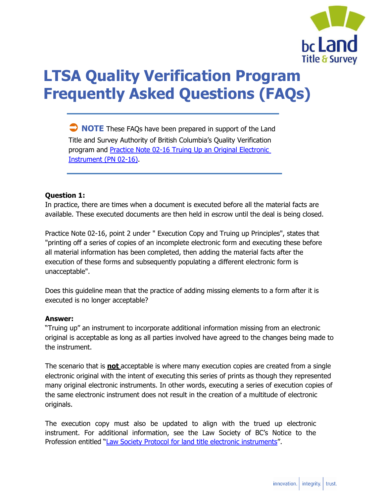

# **LTSA Quality Verification Program Frequently Asked Questions (FAQs)**

 **NOTE** These FAQs have been prepared in support of the Land Title and Survey Authority of British Columbia's Quality Verification program and [Practice Note 02-16 Truing Up an Original Electronic](https://ltsa.ca/sites/default/files/Practice-Note-02-16.pdf) [Instrument \(PN 02-16\).](https://ltsa.ca/sites/default/files/Practice-Note-02-16.pdf)

# **Question 1:**

In practice, there are times when a document is executed before all the material facts are available. These executed documents are then held in escrow until the deal is being closed.

Practice Note 02-16, point 2 under " Execution Copy and Truing up Principles", states that "printing off a series of copies of an incomplete electronic form and executing these before all material information has been completed, then adding the material facts after the execution of these forms and subsequently populating a different electronic form is unacceptable".

Does this guideline mean that the practice of adding missing elements to a form after it is executed is no longer acceptable?

#### **Answer:**

"Truing up" an instrument to incorporate additional information missing from an electronic original is acceptable as long as all parties involved have agreed to the changes being made to the instrument.

The scenario that is **not** acceptable is where many execution copies are created from a single electronic original with the intent of executing this series of prints as though they represented many original electronic instruments. In other words, executing a series of execution copies of the same electronic instrument does not result in the creation of a multitude of electronic originals.

The execution copy must also be updated to align with the trued up electronic instrument. For additional information, see the Law Society of BC's Notice to the Profession entitled "[Law](https://www.lawsociety.bc.ca/about-us/news-and-publications/recent-news/2011/protocol-for-land-title-electronic-instruments/) [Society Protocol for land title electronic instruments](https://www.lawsociety.bc.ca/about-us/news-and-publications/recent-news/2011/protocol-for-land-title-electronic-instruments/)".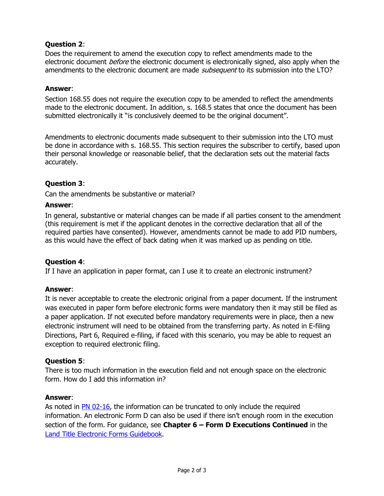# **Question 2**:

Does the requirement to amend the execution copy to reflect amendments made to the electronic document *before* the electronic document is electronically signed, also apply when the amendments to the electronic document are made *subsequent* to its submission into the LTO?

#### **Answer**:

Section 168.55 does not require the execution copy to be amended to reflect the amendments made to the electronic document. In addition, s. 168.5 states that once the document has been submitted electronically it "is conclusively deemed to be the original document".

Amendments to electronic documents made subsequent to their submission into the LTO must be done in accordance with s. 168.55. This section requires the subscriber to certify, based upon their personal knowledge or reasonable belief, that the declaration sets out the material facts accurately.

# **Question 3**:

Can the amendments be substantive or material?

#### **Answer**:

In general, substantive or material changes can be made if all parties consent to the amendment (this requirement is met if the applicant denotes in the corrective declaration that all of the required parties have consented). However, amendments cannot be made to add PID numbers, as this would have the effect of back dating when it was marked up as pending on title.

#### **Question 4**:

If I have an application in paper format, can I use it to create an electronic instrument?

#### **Answer**:

It is never acceptable to create the electronic original from a paper document. If the instrument was executed in paper form before electronic forms were mandatory then it may still be filed as a paper application. If not executed before mandatory requirements were in place, then a new electronic instrument will need to be obtained from the transferring party. As noted in E-filing Directions, Part 6, Required e-filing, if faced with this scenario, you may be able to request an exception to required electronic filing.

#### **Question 5**:

There is too much information in the execution field and not enough space on the electronic form. How do I add this information in?

#### **Answer**:

As noted in [PN 02-16,](https://ltsa.ca/sites/default/files/Practice-Note-02-16.pdf) the information can be truncated to only include the required information. An electronic Form D can also be used if there isn't enough room in the execution section of the form. For guidance, see **Chapter 6 – Form D Executions Continued** in the [Land Title Electronic Forms Guidebook.](http://www.cle.bc.ca/onlinestore/productdetails.aspx?pid=4278000)